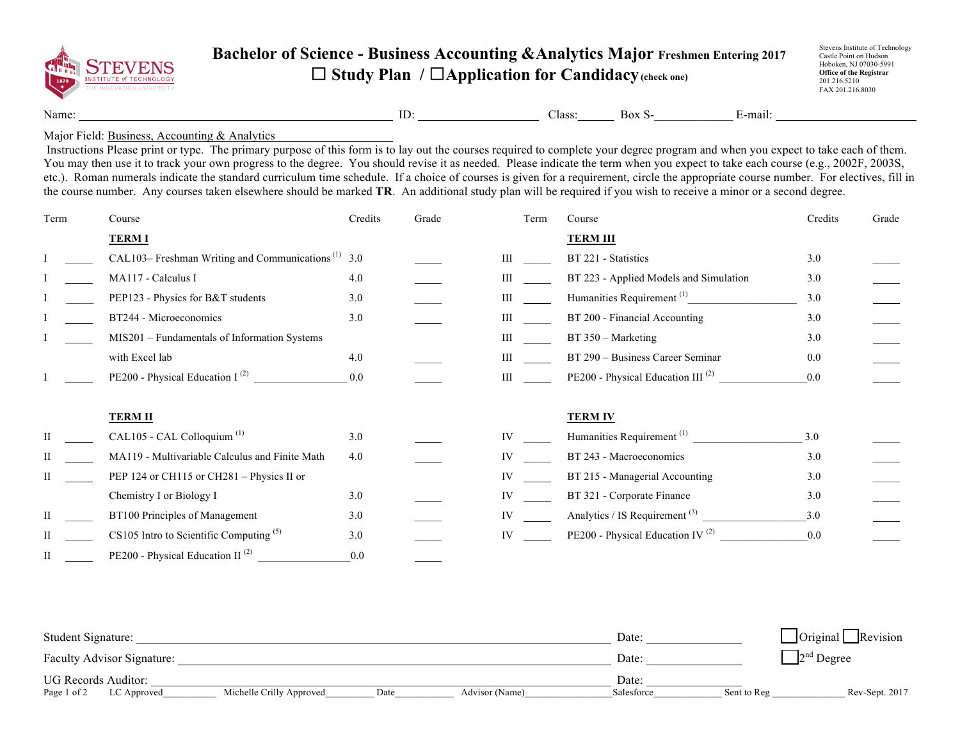

## **Bachelor of Science - Business Accounting &Analytics Major Freshmen Entering 2017** ☐ **Study Plan /** ☐**Application for Candidacy(check one)**

Stevens Institute of Technology Castle Point on Hudson Hoboken, NJ 07030-5991 **Office of the Registrar** 201.216.5210 FAX 201.216.8030

Name: ID: Class: Box S- E-mail:

## Major Field: Business, Accounting & Analytics

Instructions Please print or type. The primary purpose of this form is to lay out the courses required to complete your degree program and when you expect to take each of them. You may then use it to track your own progress to the degree. You should revise it as needed. Please indicate the term when you expect to take each course (e.g., 2002F, 2003S, etc.). Roman numerals indicate the standard curriculum time schedule. If a choice of courses is given for a requirement, circle the appropriate course number. For electives, fill in the course number. Any courses taken elsewhere should be marked **TR**. An additional study plan will be required if you wish to receive a minor or a second degree.

| Term | Course                                                         | Credits | Grade | Term      | Course                                        | Credits | Grade |
|------|----------------------------------------------------------------|---------|-------|-----------|-----------------------------------------------|---------|-------|
|      | <b>TERMI</b>                                                   |         |       |           | <b>TERM III</b>                               |         |       |
|      | CAL103– Freshman Writing and Communications <sup>(1)</sup> 3.0 |         |       | Ш         | BT 221 - Statistics                           | 3.0     |       |
|      | MA117 - Calculus I                                             | 4.0     |       | Ш         | BT 223 - Applied Models and Simulation        | 3.0     |       |
|      | PEP123 - Physics for B&T students                              | 3.0     |       | Ш         | Humanities Requirement <sup>(1)</sup>         | 3.0     |       |
|      | BT244 - Microeconomics                                         | 3.0     |       | Ш         | BT 200 - Financial Accounting                 | 3.0     |       |
|      | MIS201 - Fundamentals of Information Systems                   |         |       | Ш         | BT 350 - Marketing                            | 3.0     |       |
|      | with Excel lab                                                 | 4.0     |       | Ш         | BT 290 - Business Career Seminar              | 0.0     |       |
|      | PE200 - Physical Education I $^{(2)}$                          | 0.0     |       | Ш         | PE200 - Physical Education III <sup>(2)</sup> | 0.0     |       |
|      | <b>TERM II</b>                                                 |         |       |           | <b>TERM IV</b>                                |         |       |
|      | CAL105 - CAL Colloquium <sup>(1)</sup>                         | 3.0     |       | <b>IV</b> | Humanities Requirement <sup>(1)</sup>         | 3.0     |       |
|      | MA119 - Multivariable Calculus and Finite Math                 | 4.0     |       | IV        | BT 243 - Macroeconomics                       | 3.0     |       |
|      | PEP 124 or CH115 or CH281 - Physics II or                      |         |       | IV        | BT 215 - Managerial Accounting                | 3.0     |       |
|      | Chemistry I or Biology I                                       | 3.0     |       |           | BT 321 - Corporate Finance                    | 3.0     |       |
| H    | BT100 Principles of Management                                 | 3.0     |       |           | Analytics / IS Requirement $(3)$              | 3.0     |       |
|      | CS105 Intro to Scientific Computing $(5)$                      | 3.0     |       | IV        | PE200 - Physical Education IV <sup>(2)</sup>  | 0.0     |       |
| H    | PE200 - Physical Education II <sup>(2)</sup>                   | 0.0     |       |           |                                               |         |       |

| Student Signature:         |                          |      |                | Date:      |             | $\Box$ Original $\Box$ Revision |  |  |
|----------------------------|--------------------------|------|----------------|------------|-------------|---------------------------------|--|--|
| Faculty Advisor Signature: |                          |      |                | Date:      |             | $2nd$ Degree                    |  |  |
| <b>UG Records Auditor:</b> |                          |      |                | Date:      |             |                                 |  |  |
| Page 1 of 2<br>LC Approved | Michelle Crilly Approved | Date | Advisor (Name) | Salesforce | Sent to Reg | Rev-Sept. 2017                  |  |  |